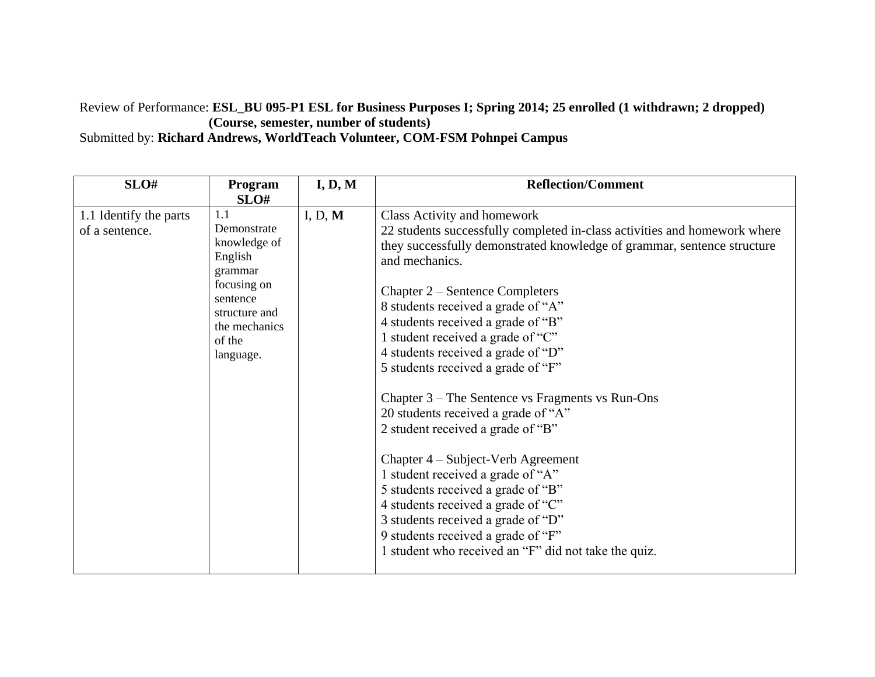# Review of Performance: **ESL\_BU 095-P1 ESL for Business Purposes I; Spring 2014; 25 enrolled (1 withdrawn; 2 dropped) (Course, semester, number of students)**

Submitted by: **Richard Andrews, WorldTeach Volunteer, COM-FSM Pohnpei Campus**

| SLO#                                     | Program<br>SLO#                                                                                                                              | I, D, M | <b>Reflection/Comment</b>                                                                                                                                                                                                                                                                                                                                                                                                                                                                                                                                                                                                                                                                                                                                                                                                                                          |
|------------------------------------------|----------------------------------------------------------------------------------------------------------------------------------------------|---------|--------------------------------------------------------------------------------------------------------------------------------------------------------------------------------------------------------------------------------------------------------------------------------------------------------------------------------------------------------------------------------------------------------------------------------------------------------------------------------------------------------------------------------------------------------------------------------------------------------------------------------------------------------------------------------------------------------------------------------------------------------------------------------------------------------------------------------------------------------------------|
| 1.1 Identify the parts<br>of a sentence. | 1.1<br>Demonstrate<br>knowledge of<br>English<br>grammar<br>focusing on<br>sentence<br>structure and<br>the mechanics<br>of the<br>language. | I, D, M | Class Activity and homework<br>22 students successfully completed in-class activities and homework where<br>they successfully demonstrated knowledge of grammar, sentence structure<br>and mechanics.<br>Chapter 2 – Sentence Completers<br>8 students received a grade of "A"<br>4 students received a grade of "B"<br>1 student received a grade of "C"<br>4 students received a grade of "D"<br>5 students received a grade of "F"<br>Chapter $3$ – The Sentence vs Fragments vs Run-Ons<br>20 students received a grade of "A"<br>2 student received a grade of "B"<br>Chapter 4 – Subject-Verb Agreement<br>1 student received a grade of "A"<br>5 students received a grade of "B"<br>4 students received a grade of "C"<br>3 students received a grade of "D"<br>9 students received a grade of "F"<br>1 student who received an "F" did not take the quiz. |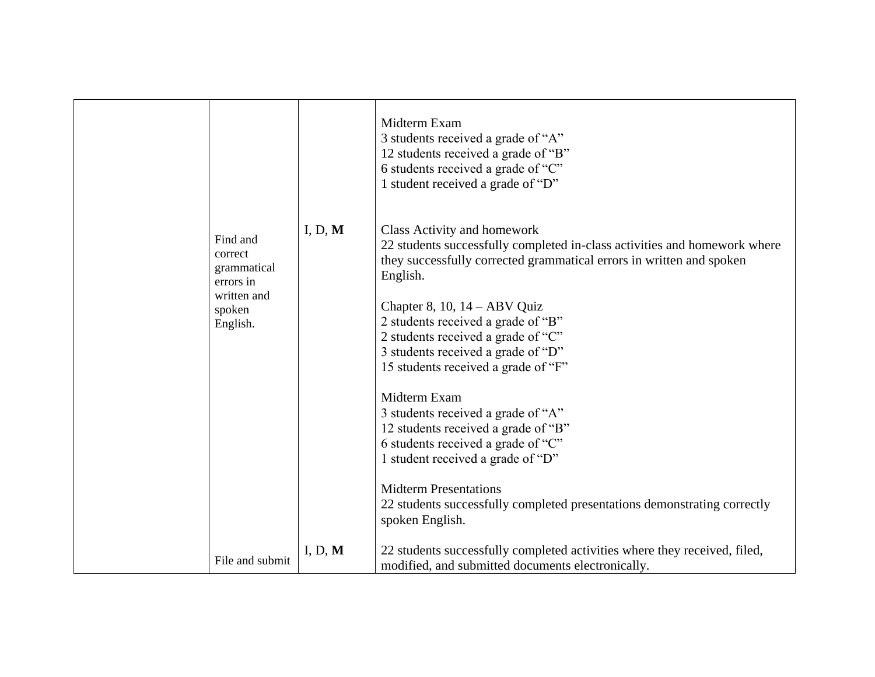|                                                                                      |         | Midterm Exam<br>3 students received a grade of "A"<br>12 students received a grade of "B"<br>6 students received a grade of "C"<br>1 student received a grade of "D"                                                                                                                                                                                                                                                                                                                                                                                                                                                                                                                         |
|--------------------------------------------------------------------------------------|---------|----------------------------------------------------------------------------------------------------------------------------------------------------------------------------------------------------------------------------------------------------------------------------------------------------------------------------------------------------------------------------------------------------------------------------------------------------------------------------------------------------------------------------------------------------------------------------------------------------------------------------------------------------------------------------------------------|
| Find and<br>correct<br>grammatical<br>errors in<br>written and<br>spoken<br>English. | I, D, M | Class Activity and homework<br>22 students successfully completed in-class activities and homework where<br>they successfully corrected grammatical errors in written and spoken<br>English.<br>Chapter 8, 10, 14 - ABV Quiz<br>2 students received a grade of "B"<br>2 students received a grade of "C"<br>3 students received a grade of "D"<br>15 students received a grade of "F"<br>Midterm Exam<br>3 students received a grade of "A"<br>12 students received a grade of "B"<br>6 students received a grade of "C"<br>1 student received a grade of "D"<br><b>Midterm Presentations</b><br>22 students successfully completed presentations demonstrating correctly<br>spoken English. |
| File and submit                                                                      | I, D, M | 22 students successfully completed activities where they received, filed,<br>modified, and submitted documents electronically.                                                                                                                                                                                                                                                                                                                                                                                                                                                                                                                                                               |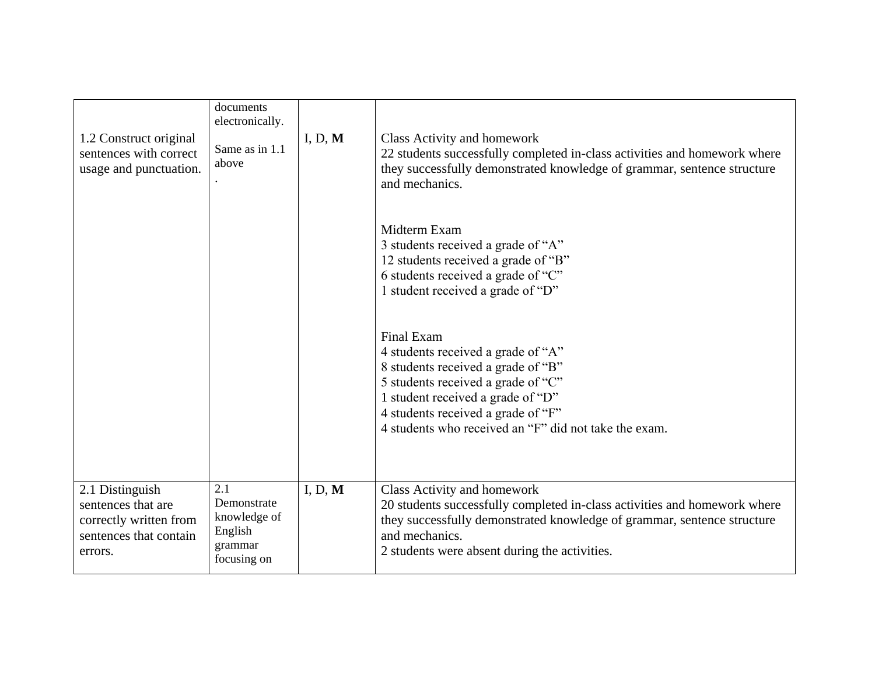| 1.2 Construct original<br>sentences with correct<br>usage and punctuation.                           | documents<br>electronically.<br>Same as in 1.1<br>above                 | I, D, M | Class Activity and homework<br>22 students successfully completed in-class activities and homework where<br>they successfully demonstrated knowledge of grammar, sentence structure<br>and mechanics.<br>Midterm Exam<br>3 students received a grade of "A"<br>12 students received a grade of "B"<br>6 students received a grade of "C"<br>1 student received a grade of "D"<br>Final Exam<br>4 students received a grade of "A"<br>8 students received a grade of "B"<br>5 students received a grade of "C"<br>1 student received a grade of "D"<br>4 students received a grade of "F" |
|------------------------------------------------------------------------------------------------------|-------------------------------------------------------------------------|---------|------------------------------------------------------------------------------------------------------------------------------------------------------------------------------------------------------------------------------------------------------------------------------------------------------------------------------------------------------------------------------------------------------------------------------------------------------------------------------------------------------------------------------------------------------------------------------------------|
|                                                                                                      |                                                                         |         | 4 students who received an "F" did not take the exam.                                                                                                                                                                                                                                                                                                                                                                                                                                                                                                                                    |
| 2.1 Distinguish<br>sentences that are<br>correctly written from<br>sentences that contain<br>errors. | 2.1<br>Demonstrate<br>knowledge of<br>English<br>grammar<br>focusing on | I, D, M | Class Activity and homework<br>20 students successfully completed in-class activities and homework where<br>they successfully demonstrated knowledge of grammar, sentence structure<br>and mechanics.<br>2 students were absent during the activities.                                                                                                                                                                                                                                                                                                                                   |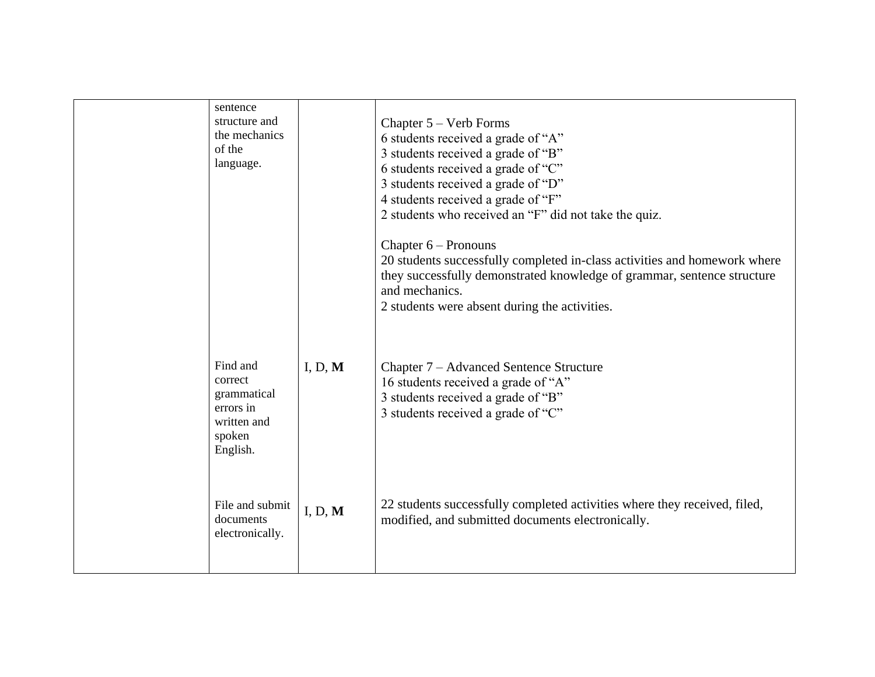| sentence<br>structure and<br>the mechanics<br>of the<br>language.                    |         | Chapter $5 -$ Verb Forms<br>6 students received a grade of "A"<br>3 students received a grade of "B"<br>6 students received a grade of "C"<br>3 students received a grade of "D"<br>4 students received a grade of "F"<br>2 students who received an "F" did not take the quiz.<br>Chapter $6$ – Pronouns<br>20 students successfully completed in-class activities and homework where<br>they successfully demonstrated knowledge of grammar, sentence structure<br>and mechanics.<br>2 students were absent during the activities. |
|--------------------------------------------------------------------------------------|---------|--------------------------------------------------------------------------------------------------------------------------------------------------------------------------------------------------------------------------------------------------------------------------------------------------------------------------------------------------------------------------------------------------------------------------------------------------------------------------------------------------------------------------------------|
| Find and<br>correct<br>grammatical<br>errors in<br>written and<br>spoken<br>English. | I, D, M | Chapter 7 – Advanced Sentence Structure<br>16 students received a grade of "A"<br>3 students received a grade of "B"<br>3 students received a grade of "C"                                                                                                                                                                                                                                                                                                                                                                           |
| File and submit<br>documents<br>electronically.                                      | I, D, M | 22 students successfully completed activities where they received, filed,<br>modified, and submitted documents electronically.                                                                                                                                                                                                                                                                                                                                                                                                       |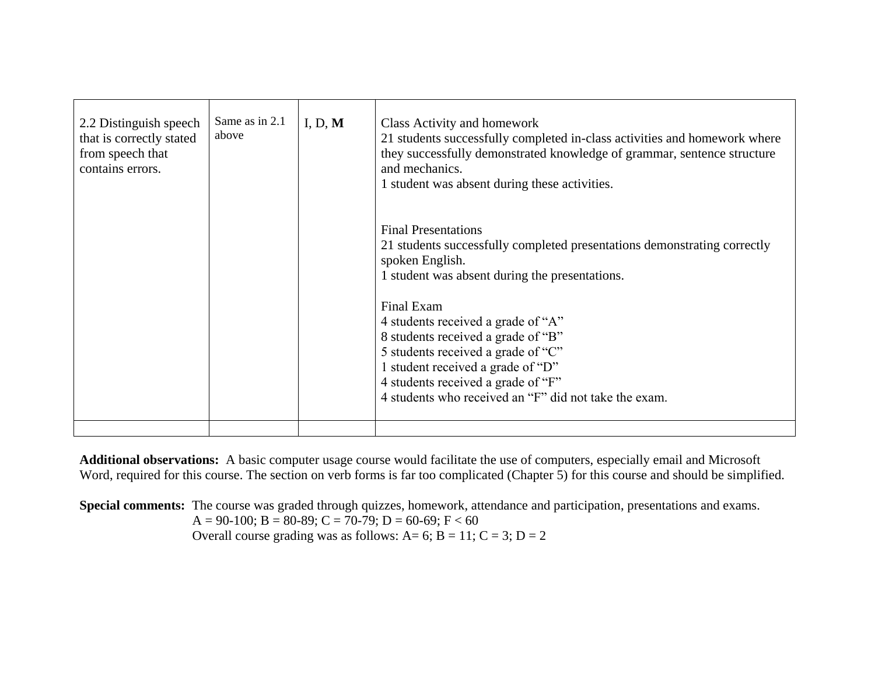| 2.2 Distinguish speech<br>that is correctly stated<br>from speech that<br>contains errors. | Same as in 2.1<br>above | I, D, $M$ | Class Activity and homework<br>21 students successfully completed in-class activities and homework where<br>they successfully demonstrated knowledge of grammar, sentence structure<br>and mechanics.<br>1 student was absent during these activities.                                                                                                                                                                                          |
|--------------------------------------------------------------------------------------------|-------------------------|-----------|-------------------------------------------------------------------------------------------------------------------------------------------------------------------------------------------------------------------------------------------------------------------------------------------------------------------------------------------------------------------------------------------------------------------------------------------------|
|                                                                                            |                         |           | <b>Final Presentations</b><br>21 students successfully completed presentations demonstrating correctly<br>spoken English.<br>1 student was absent during the presentations.<br>Final Exam<br>4 students received a grade of "A"<br>8 students received a grade of "B"<br>5 students received a grade of "C"<br>1 student received a grade of "D"<br>4 students received a grade of "F"<br>4 students who received an "F" did not take the exam. |
|                                                                                            |                         |           |                                                                                                                                                                                                                                                                                                                                                                                                                                                 |

**Additional observations:** A basic computer usage course would facilitate the use of computers, especially email and Microsoft Word, required for this course. The section on verb forms is far too complicated (Chapter 5) for this course and should be simplified.

**Special comments:** The course was graded through quizzes, homework, attendance and participation, presentations and exams. A = 90-100; B = 80-89; C = 70-79; D = 60-69; F < 60 Overall course grading was as follows:  $A= 6$ ;  $B = 11$ ;  $C = 3$ ;  $D = 2$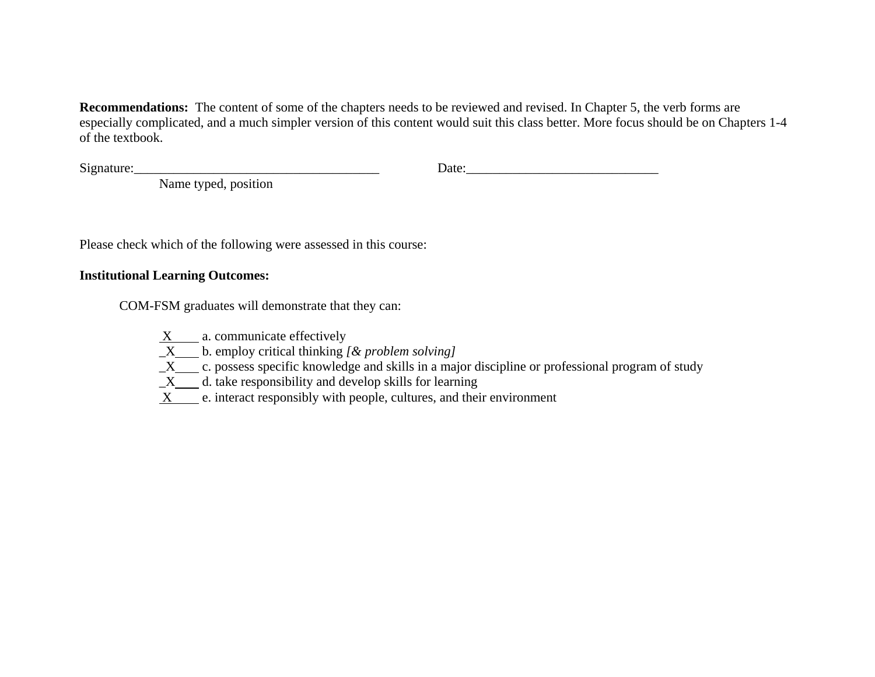**Recommendations:** The content of some of the chapters needs to be reviewed and revised. In Chapter 5, the verb forms are especially complicated, and a much simpler version of this content would suit this class better. More focus should be on Chapters 1-4 of the textbook.

 $Signature:$ 

Name typed, position

Please check which of the following were assessed in this course:

### **Institutional Learning Outcomes:**

COM-FSM graduates will demonstrate that they can:

 $X$  a. communicate effectively

 $\overline{X}$  b. employ critical thinking *[& problem solving]* 

 $X$  c. possess specific knowledge and skills in a major discipline or professional program of study

 $X$  d. take responsibility and develop skills for learning

X e. interact responsibly with people, cultures, and their environment